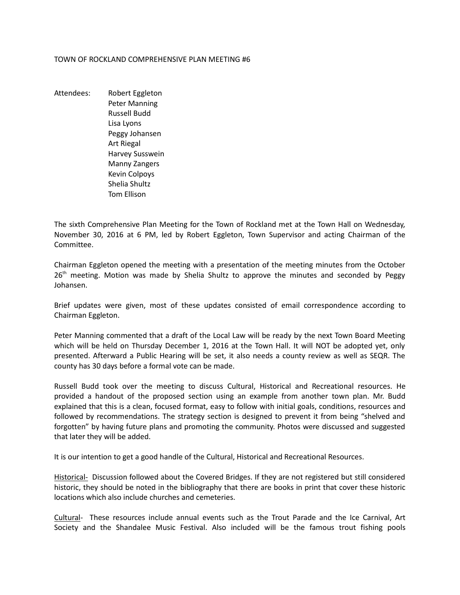## TOWN OF ROCKLAND COMPREHENSIVE PLAN MEETING #6

Attendees: Robert Eggleton Peter Manning Russell Budd Lisa Lyons Peggy Johansen Art Riegal Harvey Susswein Manny Zangers Kevin Colpoys Shelia Shultz Tom Ellison

The sixth Comprehensive Plan Meeting for the Town of Rockland met at the Town Hall on Wednesday, November 30, 2016 at 6 PM, led by Robert Eggleton, Town Supervisor and acting Chairman of the Committee.

Chairman Eggleton opened the meeting with a presentation of the meeting minutes from the October  $26<sup>th</sup>$  meeting. Motion was made by Shelia Shultz to approve the minutes and seconded by Peggy Johansen.

Brief updates were given, most of these updates consisted of email correspondence according to Chairman Eggleton.

Peter Manning commented that a draft of the Local Law will be ready by the next Town Board Meeting which will be held on Thursday December 1, 2016 at the Town Hall. It will NOT be adopted yet, only presented. Afterward a Public Hearing will be set, it also needs a county review as well as SEQR. The county has 30 days before a formal vote can be made.

Russell Budd took over the meeting to discuss Cultural, Historical and Recreational resources. He provided a handout of the proposed section using an example from another town plan. Mr. Budd explained that this is a clean, focused format, easy to follow with initial goals, conditions, resources and followed by recommendations. The strategy section is designed to prevent it from being "shelved and forgotten" by having future plans and promoting the community. Photos were discussed and suggested that later they will be added.

It is our intention to get a good handle of the Cultural, Historical and Recreational Resources.

Historical- Discussion followed about the Covered Bridges. If they are not registered but still considered historic, they should be noted in the bibliography that there are books in print that cover these historic locations which also include churches and cemeteries.

Cultural- These resources include annual events such as the Trout Parade and the Ice Carnival, Art Society and the Shandalee Music Festival. Also included will be the famous trout fishing pools